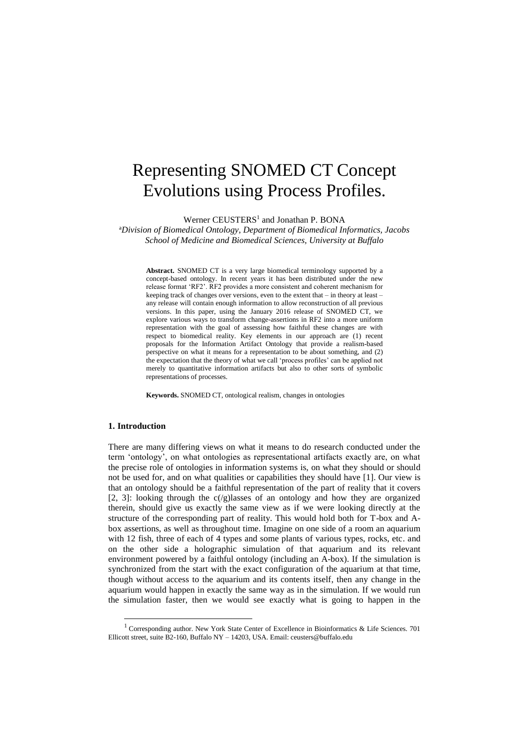# Representing SNOMED CT Concept Evolutions using Process Profiles.

Werner CEUSTERS<sup>1</sup> and Jonathan P. BONA

<sup>a</sup>*Division of Biomedical Ontology, Department of Biomedical Informatics, Jacobs School of Medicine and Biomedical Sciences, University at Buffalo*

**Abstract.** SNOMED CT is a very large biomedical terminology supported by a concept-based ontology. In recent years it has been distributed under the new release format 'RF2'. RF2 provides a more consistent and coherent mechanism for keeping track of changes over versions, even to the extent that – in theory at least – any release will contain enough information to allow reconstruction of all previous versions. In this paper, using the January 2016 release of SNOMED CT, we explore various ways to transform change-assertions in RF2 into a more uniform representation with the goal of assessing how faithful these changes are with respect to biomedical reality. Key elements in our approach are (1) recent proposals for the Information Artifact Ontology that provide a realism-based perspective on what it means for a representation to be about something, and (2) the expectation that the theory of what we call 'process profiles' can be applied not merely to quantitative information artifacts but also to other sorts of symbolic representations of processes.

**Keywords.** SNOMED CT, ontological realism, changes in ontologies

## **1. Introduction**

-

There are many differing views on what it means to do research conducted under the term 'ontology', on what ontologies as representational artifacts exactly are, on what the precise role of ontologies in information systems is, on what they should or should not be used for, and on what qualities or capabilities they should have [1]. Our view is that an ontology should be a faithful representation of the part of reality that it covers [2, 3]: looking through the  $c/(g)$ lasses of an ontology and how they are organized therein, should give us exactly the same view as if we were looking directly at the structure of the corresponding part of reality. This would hold both for T-box and Abox assertions, as well as throughout time. Imagine on one side of a room an aquarium with 12 fish, three of each of 4 types and some plants of various types, rocks, etc. and on the other side a holographic simulation of that aquarium and its relevant environment powered by a faithful ontology (including an A-box). If the simulation is synchronized from the start with the exact configuration of the aquarium at that time, though without access to the aquarium and its contents itself, then any change in the aquarium would happen in exactly the same way as in the simulation. If we would run the simulation faster, then we would see exactly what is going to happen in the

<sup>&</sup>lt;sup>1</sup> Corresponding author. New York State Center of Excellence in Bioinformatics & Life Sciences. 701 Ellicott street, suite B2-160, Buffalo NY – 14203, USA. Email: ceusters@buffalo.edu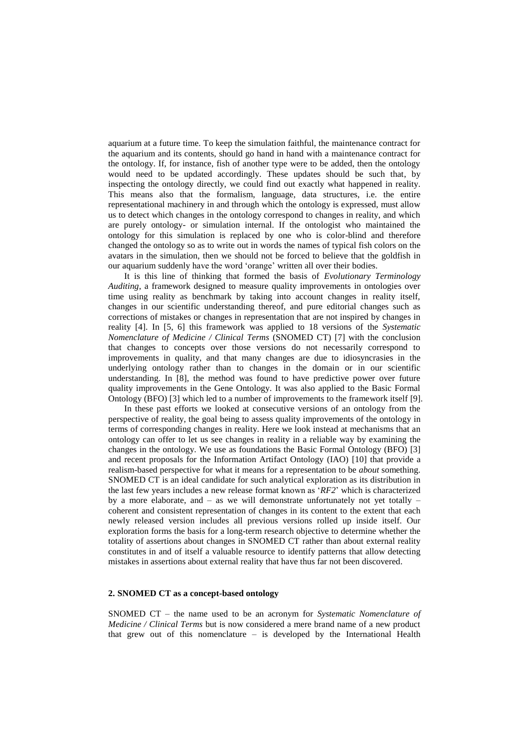aquarium at a future time. To keep the simulation faithful, the maintenance contract for the aquarium and its contents, should go hand in hand with a maintenance contract for the ontology. If, for instance, fish of another type were to be added, then the ontology would need to be updated accordingly. These updates should be such that, by inspecting the ontology directly, we could find out exactly what happened in reality. This means also that the formalism, language, data structures, i.e. the entire representational machinery in and through which the ontology is expressed, must allow us to detect which changes in the ontology correspond to changes in reality, and which are purely ontology- or simulation internal. If the ontologist who maintained the ontology for this simulation is replaced by one who is color-blind and therefore changed the ontology so as to write out in words the names of typical fish colors on the avatars in the simulation, then we should not be forced to believe that the goldfish in our aquarium suddenly have the word 'orange' written all over their bodies.

It is this line of thinking that formed the basis of *Evolutionary Terminology Auditing*, a framework designed to measure quality improvements in ontologies over time using reality as benchmark by taking into account changes in reality itself, changes in our scientific understanding thereof, and pure editorial changes such as corrections of mistakes or changes in representation that are not inspired by changes in reality [4]. In [5, 6] this framework was applied to 18 versions of the *Systematic Nomenclature of Medicine / Clinical Terms* (SNOMED CT) [7] with the conclusion that changes to concepts over those versions do not necessarily correspond to improvements in quality, and that many changes are due to idiosyncrasies in the underlying ontology rather than to changes in the domain or in our scientific understanding. In [8], the method was found to have predictive power over future quality improvements in the Gene Ontology. It was also applied to the Basic Formal Ontology (BFO) [3] which led to a number of improvements to the framework itself [9].

In these past efforts we looked at consecutive versions of an ontology from the perspective of reality, the goal being to assess quality improvements of the ontology in terms of corresponding changes in reality. Here we look instead at mechanisms that an ontology can offer to let us see changes in reality in a reliable way by examining the changes in the ontology. We use as foundations the Basic Formal Ontology (BFO) [3] and recent proposals for the Information Artifact Ontology (IAO) [10] that provide a realism-based perspective for what it means for a representation to be *about* something. SNOMED CT is an ideal candidate for such analytical exploration as its distribution in the last few years includes a new release format known as '*RF2*' which is characterized by a more elaborate, and – as we will demonstrate unfortunately not yet totally – coherent and consistent representation of changes in its content to the extent that each newly released version includes all previous versions rolled up inside itself. Our exploration forms the basis for a long-term research objective to determine whether the totality of assertions about changes in SNOMED CT rather than about external reality constitutes in and of itself a valuable resource to identify patterns that allow detecting mistakes in assertions about external reality that have thus far not been discovered.

#### <span id="page-1-0"></span>**2. SNOMED CT as a concept-based ontology**

SNOMED CT – the name used to be an acronym for *Systematic Nomenclature of Medicine / Clinical Terms* but is now considered a mere brand name of a new product that grew out of this nomenclature – is developed by the International Health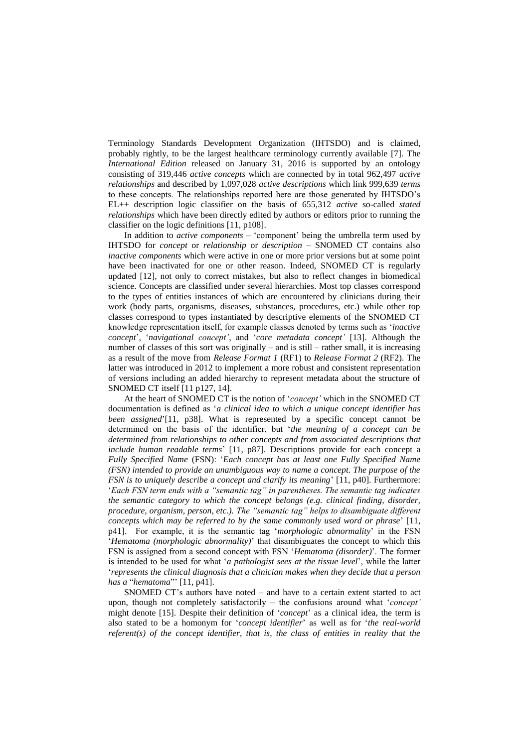Terminology Standards Development Organization (IHTSDO) and is claimed, probably rightly, to be the largest healthcare terminology currently available [7]. The *International Edition* released on January 31, 2016 is supported by an ontology consisting of 319,446 *active concepts* which are connected by in total 962,497 *active relationships* and described by 1,097,028 *active descriptions* which link 999,639 *terms* to these concepts. The relationships reported here are those generated by IHTSDO's EL++ description logic classifier on the basis of 655,312 *active* so-called *stated relationships* which have been directly edited by authors or editors prior to running the classifier on the logic definitions [11, p108].

In addition to *active components* – 'component' being the umbrella term used by IHTSDO for *concept* or *relationship* or *description* – SNOMED CT contains also *inactive components* which were active in one or more prior versions but at some point have been inactivated for one or other reason. Indeed, SNOMED CT is regularly updated [12], not only to correct mistakes, but also to reflect changes in biomedical science. Concepts are classified under several hierarchies. Most top classes correspond to the types of entities instances of which are encountered by clinicians during their work (body parts, organisms, diseases, substances, procedures, etc.) while other top classes correspond to types instantiated by descriptive elements of the SNOMED CT knowledge representation itself, for example classes denoted by terms such as '*inactive concept*', '*navigational concept'*, and '*core metadata concept'* [13]. Although the number of classes of this sort was originally – and is still – rather small, it is increasing as a result of the move from *Release Format 1* (RF1) to *Release Format 2* (RF2). The latter was introduced in 2012 to implement a more robust and consistent representation of versions including an added hierarchy to represent metadata about the structure of SNOMED CT itself [11 p127, 14].

At the heart of SNOMED CT is the notion of '*concept'* which in the SNOMED CT documentation is defined as '*a clinical idea to which a unique concept identifier has been assigned*'[11, p38]. What is represented by a specific concept cannot be determined on the basis of the identifier, but '*the meaning of a concept can be determined from relationships to other concepts and from associated descriptions that include human readable terms*' [11, p87]. Descriptions provide for each concept a *Fully Specified Name* (FSN): '*Each concept has at least one Fully Specified Name (FSN) intended to provide an unambiguous way to name a concept. The purpose of the FSN is to uniquely describe a concept and clarify its meaning*' [11, p40]. Furthermore: '*Each FSN term ends with a "semantic tag" in parentheses. The semantic tag indicates the semantic category to which the concept belongs (e.g. clinical finding, disorder, procedure, organism, person, etc.). The "semantic tag" helps to disambiguate different concepts which may be referred to by the same commonly used word or phrase*' [11, p41]. For example, it is the semantic tag '*morphologic abnormality*' in the FSN '*Hematoma (morphologic abnormality)*' that disambiguates the concept to which this FSN is assigned from a second concept with FSN '*Hematoma (disorder)*'. The former is intended to be used for what '*a pathologist sees at the tissue level*', while the latter '*represents the clinical diagnosis that a clinician makes when they decide that a person has a* "*hematoma*"' [11, p41].

SNOMED CT's authors have noted – and have to a certain extent started to act upon, though not completely satisfactorily – the confusions around what '*concept'* might denote [15]. Despite their definition of '*concept*' as a clinical idea, the term is also stated to be a homonym for '*concept identifier*' as well as for '*the real-world referent(s) of the concept identifier, that is, the class of entities in reality that the*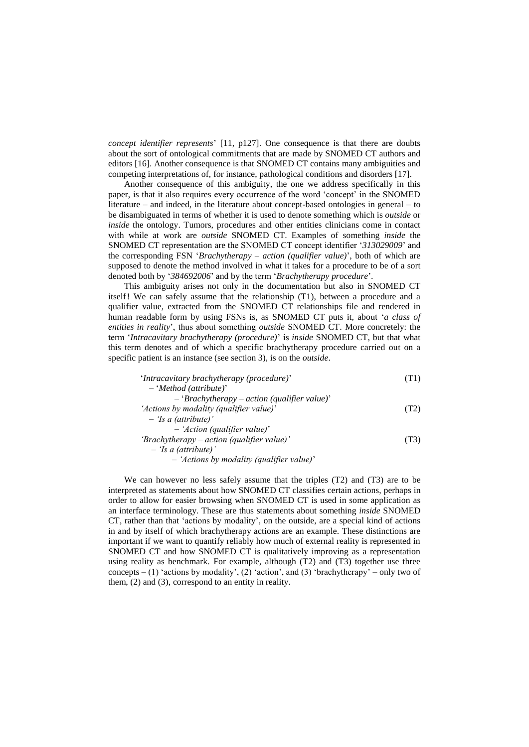*concept identifier represents*' [11, p127]. One consequence is that there are doubts about the sort of ontological commitments that are made by SNOMED CT authors and editors [16]. Another consequence is that SNOMED CT contains many ambiguities and competing interpretations of, for instance, pathological conditions and disorders [17].

Another consequence of this ambiguity, the one we address specifically in this paper, is that it also requires every occurrence of the word 'concept' in the SNOMED literature – and indeed, in the literature about concept-based ontologies in general – to be disambiguated in terms of whether it is used to denote something which is *outside* or *inside* the ontology. Tumors, procedures and other entities clinicians come in contact with while at work are *outside* SNOMED CT. Examples of something *inside* the SNOMED CT representation are the SNOMED CT concept identifier '*313029009*' and the corresponding FSN '*Brachytherapy – action (qualifier value)*', both of which are supposed to denote the method involved in what it takes for a procedure to be of a sort denoted both by '*384692006*' and by the term '*Brachytherapy procedure*'.

This ambiguity arises not only in the documentation but also in SNOMED CT itself! We can safely assume that the relationship (T1), between a procedure and a qualifier value, extracted from the SNOMED CT relationships file and rendered in human readable form by using FSNs is, as SNOMED CT puts it, about '*a class of entities in reality*', thus about something *outside* SNOMED CT. More concretely: the term '*Intracavitary brachytherapy (procedure)*' is *inside* SNOMED CT, but that what this term denotes and of which a specific brachytherapy procedure carried out on a specific patient is an instance (see section 3), is on the *outside*.

| 'Intracavitary brachytherapy (procedure)'      | T1)  |
|------------------------------------------------|------|
| $-$ 'Method (attribute)'                       |      |
| $-$ 'Brachytherapy – action (qualifier value)' |      |
| 'Actions by modality (qualifier value)'        | (T2) |
| $-$ 'Is a (attribute)'                         |      |
| $-$ 'Action (qualifier value)'                 |      |
| 'Brachytherapy – action (qualifier value)'     | (T3) |
| $-$ 'Is a (attribute)'                         |      |
| $-$ 'Actions by modality (qualifier value)'    |      |

We can however no less safely assume that the triples (T2) and (T3) are to be interpreted as statements about how SNOMED CT classifies certain actions, perhaps in order to allow for easier browsing when SNOMED CT is used in some application as an interface terminology. These are thus statements about something *inside* SNOMED CT, rather than that 'actions by modality', on the outside, are a special kind of actions in and by itself of which brachytherapy actions are an example. These distinctions are important if we want to quantify reliably how much of external reality is represented in SNOMED CT and how SNOMED CT is qualitatively improving as a representation using reality as benchmark. For example, although (T2) and (T3) together use three concepts – (1) 'actions by modality', (2) 'action', and (3) 'brachytherapy' – only two of them, (2) and (3), correspond to an entity in reality.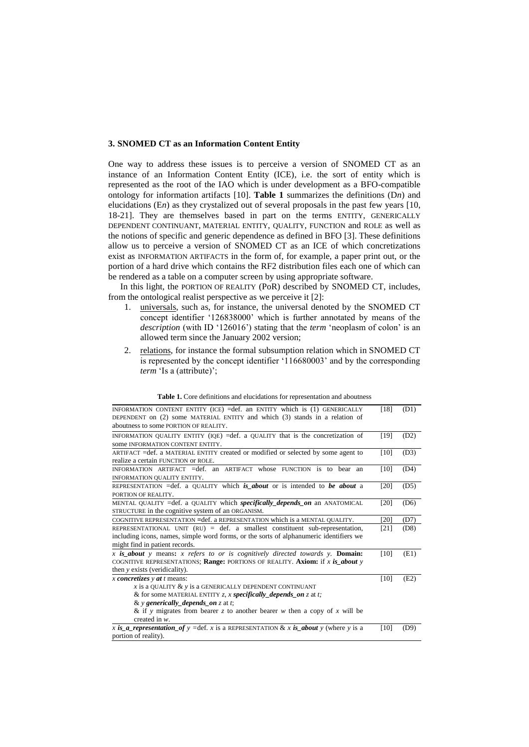## **3. SNOMED CT as an Information Content Entity**

One way to address these issues is to perceive a version of SNOMED CT as an instance of an Information Content Entity (ICE), i.e. the sort of entity which is represented as the root of the IAO which is under development as a BFO-compatible ontology for information artifacts [10]. **[Table 1](#page-4-0)** summarizes the definitions (D*n*) and elucidations (E*n*) as they crystalized out of several proposals in the past few years [10, 18-21]. They are themselves based in part on the terms ENTITY, GENERICALLY DEPENDENT CONTINUANT, MATERIAL ENTITY, QUALITY, FUNCTION and ROLE as well as the notions of specific and generic dependence as defined in BFO [3]. These definitions allow us to perceive a version of SNOMED CT as an ICE of which concretizations exist as INFORMATION ARTIFACTS in the form of, for example, a paper print out, or the portion of a hard drive which contains the RF2 distribution files each one of which can be rendered as a table on a computer screen by using appropriate software.

In this light, the PORTION OF REALITY (PoR) described by SNOMED CT, includes, from the ontological realist perspective as we perceive it [2]:

- 1. universals, such as, for instance, the universal denoted by the SNOMED CT concept identifier '126838000' which is further annotated by means of the *description* (with ID '126016') stating that the *term* 'neoplasm of colon' is an allowed term since the January 2002 version;
- 2. relations, for instance the formal subsumption relation which in SNOMED CT is represented by the concept identifier '116680003' and by the corresponding *term* 'Is a (attribute)';

<span id="page-4-0"></span>

| INFORMATION CONTENT ENTITY (ICE) = def. an ENTITY which is (1) GENERICALLY<br>DEPENDENT on (2) some MATERIAL ENTITY and which (3) stands in a relation of<br>aboutness to some PORTION OF REALITY.                                                                                                      | [18] | (D1) |
|---------------------------------------------------------------------------------------------------------------------------------------------------------------------------------------------------------------------------------------------------------------------------------------------------------|------|------|
| INFORMATION QUALITY ENTITY (IQE) = def. a QUALITY that is the concretization of<br>some INFORMATION CONTENT ENTITY.                                                                                                                                                                                     | [19] | (D2) |
| ARTIFACT = def. a MATERIAL ENTITY created or modified or selected by some agent to<br>realize a certain FUNCTION or ROLE.                                                                                                                                                                               | [10] | (D3) |
| INFORMATION ARTIFACT $=$ def. an ARTIFACT whose FUNCTION is to bear an<br>INFORMATION QUALITY ENTITY.                                                                                                                                                                                                   | [10] | (D4) |
| REPRESENTATION = def. a QUALITY which is about or is intended to be about a<br>PORTION OF REALITY.                                                                                                                                                                                                      | [20] | (D5) |
| MENTAL QUALITY = def. a QUALITY which <i>specifically_depends_on</i> an ANATOMICAL<br>STRUCTURE in the cognitive system of an ORGANISM.                                                                                                                                                                 | [20] | (D6) |
| COGNITIVE REPRESENTATION = def. a REPRESENTATION which is a MENTAL QUALITY.                                                                                                                                                                                                                             | [20] | (D7) |
| REPRESENTATIONAL UNIT $(RU) = def.$ a smallest constituent sub-representation,<br>including icons, names, simple word forms, or the sorts of alphanumeric identifiers we<br>might find in patient records.                                                                                              | [21] | (D8) |
| x is about y means: x refers to or is cognitively directed towards y. <b>Domain:</b><br>COGNITIVE REPRESENTATIONS; Range: PORTIONS OF REALITY. Axiom: if x is about y<br>then y exists (veridicality).                                                                                                  | [10] | (E1) |
| x concretizes $y$ at t means:<br>x is a QUALITY $\&$ y is a GENERICALLY DEPENDENT CONTINUANT<br>& for some MATERIAL ENTITY z, x specifically depends on z at t;<br>& y generically_depends_on z at t;<br>& if y migrates from bearer z to another bearer w then a copy of x will be<br>created in $w$ . | [10] | (E2) |
| x is <i>a</i> representation of $y = \text{def. } x$ is a REPRESENTATION & x is <b>about</b> y (where y is a<br>portion of reality).                                                                                                                                                                    | [10] | (D9) |

**Table 1.** Core definitions and elucidations for representation and aboutness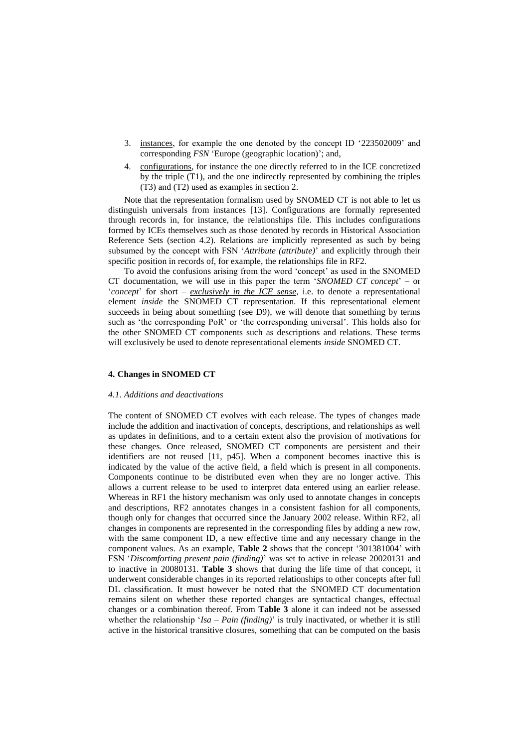- 3. instances, for example the one denoted by the concept ID '223502009' and corresponding *FSN* 'Europe (geographic location)'; and,
- 4. configurations, for instance the one directly referred to in the ICE concretized by the triple (T1), and the one indirectly represented by combining the triples (T3) and (T2) used as examples in section [2.](#page-1-0)

Note that the representation formalism used by SNOMED CT is not able to let us distinguish universals from instances [13]. Configurations are formally represented through records in, for instance, the relationships file. This includes configurations formed by ICEs themselves such as those denoted by records in Historical Association Reference Sets (section 4.2). Relations are implicitly represented as such by being subsumed by the concept with FSN '*Attribute (attribute)*' and explicitly through their specific position in records of, for example, the relationships file in RF2.

To avoid the confusions arising from the word 'concept' as used in the SNOMED CT documentation, we will use in this paper the term '*SNOMED CT concept*' – or '*concept*' for short – *exclusively in the ICE sense*, i.e. to denote a representational element *inside* the SNOMED CT representation. If this representational element succeeds in being about something (see D9), we will denote that something by terms such as 'the corresponding PoR' or 'the corresponding universal'. This holds also for the other SNOMED CT components such as descriptions and relations. These terms will exclusively be used to denote representational elements *inside* SNOMED CT.

# **4. Changes in SNOMED CT**

#### *4.1. Additions and deactivations*

The content of SNOMED CT evolves with each release. The types of changes made include the addition and inactivation of concepts, descriptions, and relationships as well as updates in definitions, and to a certain extent also the provision of motivations for these changes. Once released, SNOMED CT components are persistent and their identifiers are not reused [11, p45]. When a component becomes inactive this is indicated by the value of the active field, a field which is present in all components. Components continue to be distributed even when they are no longer active. This allows a current release to be used to interpret data entered using an earlier release. Whereas in RF1 the history mechanism was only used to annotate changes in concepts and descriptions, RF2 annotates changes in a consistent fashion for all components, though only for changes that occurred since the January 2002 release. Within RF2, all changes in components are represented in the corresponding files by adding a new row, with the same component ID, a new effective time and any necessary change in the component values. As an example, **[Table 2](#page-6-0)** shows that the concept '301381004' with FSN '*Discomforting present pain (finding)*' was set to active in release 20020131 and to inactive in 20080131. **[Table 3](#page-7-0)** shows that during the life time of that concept, it underwent considerable changes in its reported relationships to other concepts after full DL classification. It must however be noted that the SNOMED CT documentation remains silent on whether these reported changes are syntactical changes, effectual changes or a combination thereof. From **[Table 3](#page-7-0)** alone it can indeed not be assessed whether the relationship '*Isa – Pain (finding)*' is truly inactivated, or whether it is still active in the historical transitive closures, something that can be computed on the basis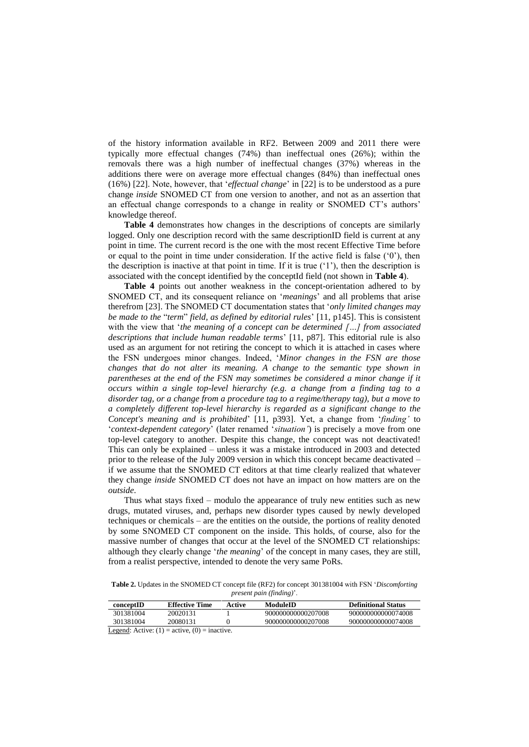of the history information available in RF2. Between 2009 and 2011 there were typically more effectual changes (74%) than ineffectual ones (26%); within the removals there was a high number of ineffectual changes (37%) whereas in the additions there were on average more effectual changes (84%) than ineffectual ones (16%) [22]. Note, however, that '*effectual change*' in [22] is to be understood as a pure change *inside* SNOMED CT from one version to another, and not as an assertion that an effectual change corresponds to a change in reality or SNOMED CT's authors' knowledge thereof.

**[Table 4](#page-7-1)** demonstrates how changes in the descriptions of concepts are similarly logged. Only one description record with the same descriptionID field is current at any point in time. The current record is the one with the most recent Effective Time before or equal to the point in time under consideration. If the active field is false  $(0)$ , then the description is inactive at that point in time. If it is true ('1'), then the description is associated with the concept identified by the conceptId field (not shown in **[Table 4](#page-7-1)**).

**[Table 4](#page-7-1)** points out another weakness in the concept-orientation adhered to by SNOMED CT, and its consequent reliance on '*meanings*' and all problems that arise therefrom [23]. The SNOMED CT documentation states that '*only limited changes may be made to the* "*term*" *field, as defined by editorial rules*' [11, p145]. This is consistent with the view that '*the meaning of a concept can be determined […] from associated descriptions that include human readable terms*' [11, p87]. This editorial rule is also used as an argument for not retiring the concept to which it is attached in cases where the FSN undergoes minor changes. Indeed, '*Minor changes in the FSN are those changes that do not alter its meaning. A change to the semantic type shown in parentheses at the end of the FSN may sometimes be considered a minor change if it occurs within a single top-level hierarchy (e.g. a change from a finding tag to a disorder tag, or a change from a procedure tag to a regime/therapy tag), but a move to a completely different top-level hierarchy is regarded as a significant change to the Concept's meaning and is prohibited*' [11, p393]. Yet, a change from '*finding'* to '*context-dependent category*' (later renamed '*situation'*) is precisely a move from one top-level category to another. Despite this change, the concept was not deactivated! This can only be explained – unless it was a mistake introduced in 2003 and detected prior to the release of the July 2009 version in which this concept became deactivated – if we assume that the SNOMED CT editors at that time clearly realized that whatever they change *inside* SNOMED CT does not have an impact on how matters are on the *outside*.

Thus what stays fixed – modulo the appearance of truly new entities such as new drugs, mutated viruses, and, perhaps new disorder types caused by newly developed techniques or chemicals – are the entities on the outside, the portions of reality denoted by some SNOMED CT component on the inside. This holds, of course, also for the massive number of changes that occur at the level of the SNOMED CT relationships: although they clearly change '*the meaning*' of the concept in many cases, they are still, from a realist perspective, intended to denote the very same PoRs.

<span id="page-6-0"></span>**Table 2.** Updates in the SNOMED CT concept file (RF2) for concept 301381004 with FSN '*Discomforting present pain (finding)*'.

| conceptID                                         | <b>Effective Time</b> | Active | ModuleID           | <b>Definitional Status</b> |  |
|---------------------------------------------------|-----------------------|--------|--------------------|----------------------------|--|
| 301381004                                         | 20020131              |        | 900000000000207008 | 900000000000074008         |  |
| 301381004                                         | 20080131              |        | 900000000000207008 | 900000000000074008         |  |
| Logand: Activa: $(1)$ = setting $(0)$ = insetting |                       |        |                    |                            |  |

egend: Active:  $(1)$  = active,  $(0)$  = inactive.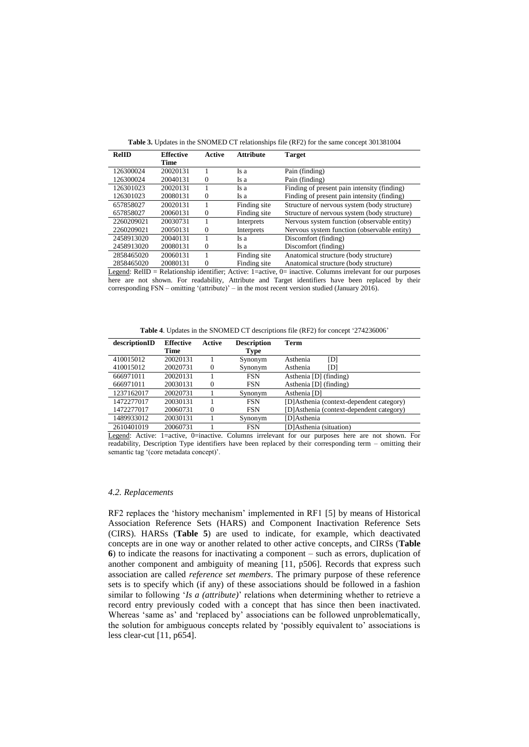<span id="page-7-0"></span>

| RelID      | <b>Effective</b> | Active   | <b>Attribute</b> | <b>Target</b>                                |
|------------|------------------|----------|------------------|----------------------------------------------|
|            | Time             |          |                  |                                              |
| 126300024  | 20020131         |          | Is a             | Pain (finding)                               |
| 126300024  | 20040131         | $\Omega$ | Is a             | Pain (finding)                               |
| 126301023  | 20020131         |          | Is a             | Finding of present pain intensity (finding)  |
| 126301023  | 20080131         | $\Omega$ | Is a             | Finding of present pain intensity (finding)  |
| 657858027  | 20020131         |          | Finding site     | Structure of nervous system (body structure) |
| 657858027  | 20060131         | $\Omega$ | Finding site     | Structure of nervous system (body structure) |
| 2260209021 | 20030731         |          | Interprets       | Nervous system function (observable entity)  |
| 2260209021 | 20050131         | 0        | Interprets       | Nervous system function (observable entity)  |
| 2458913020 | 20040131         |          | Is a             | Discomfort (finding)                         |
| 2458913020 | 20080131         | $\Omega$ | Is a             | Discomfort (finding)                         |
| 2858465020 | 20060131         |          | Finding site     | Anatomical structure (body structure)        |
| 2858465020 | 20080131         | $\Omega$ | Finding site     | Anatomical structure (body structure)        |

**Table 3.** Updates in the SNOMED CT relationships file (RF2) for the same concept 301381004

Legend: RelID = Relationship identifier; Active: 1=active, 0= inactive. Columns irrelevant for our purposes here are not shown. For readability, Attribute and Target identifiers have been replaced by their corresponding FSN – omitting '(attribute)' – in the most recent version studied (January 2016).

**Table 4**. Updates in the SNOMED CT descriptions file (RF2) for concept '274236006'

<span id="page-7-1"></span>

| descriptionID | <b>Effective</b> | Active   | <b>Description</b> | Term                                     |
|---------------|------------------|----------|--------------------|------------------------------------------|
|               | Time             |          | Type               |                                          |
| 410015012     | 20020131         |          | Synonym            | [D]<br>Asthenia                          |
| 410015012     | 20020731         | $\Omega$ | Synonym            | Asthenia<br>ΓDΊ                          |
| 666971011     | 20020131         |          | <b>FSN</b>         | Asthenia [D] (finding)                   |
| 666971011     | 20030131         | $\Omega$ | <b>FSN</b>         | Asthenia [D] (finding)                   |
| 1237162017    | 20020731         |          | Synonym            | Asthenia [D]                             |
| 1472277017    | 20030131         |          | <b>FSN</b>         | [D]Asthenia (context-dependent category) |
| 1472277017    | 20060731         | $\Omega$ | <b>FSN</b>         | [D]Asthenia (context-dependent category) |
| 1489933012    | 20030131         |          | Synonym            | [D]Asthenia                              |
| 2610401019    | 20060731         |          | <b>FSN</b>         | [D]Asthenia (situation)                  |

Legend: Active: 1=active, 0=inactive. Columns irrelevant for our purposes here are not shown. For readability, Description Type identifiers have been replaced by their corresponding term – omitting their semantic tag '(core metadata concept)'.

### *4.2. Replacements*

RF2 replaces the 'history mechanism' implemented in RF1 [5] by means of Historical Association Reference Sets (HARS) and Component Inactivation Reference Sets (CIRS). HARSs (**Table 5**) are used to indicate, for example, which deactivated concepts are in one way or another related to other active concepts, and CIRSs (**Table 6**) to indicate the reasons for inactivating a component – such as errors, duplication of another component and ambiguity of meaning [11, p506]. Records that express such association are called *reference set members*. The primary purpose of these reference sets is to specify which (if any) of these associations should be followed in a fashion similar to following '*Is a (attribute)*' relations when determining whether to retrieve a record entry previously coded with a concept that has since then been inactivated. Whereas 'same as' and 'replaced by' associations can be followed unproblematically, the solution for ambiguous concepts related by 'possibly equivalent to' associations is less clear-cut [11, p654].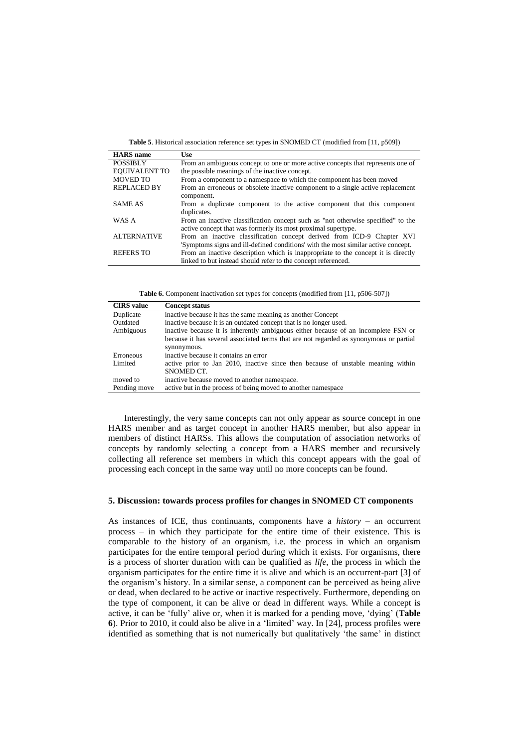**Table 5**. Historical association reference set types in SNOMED CT (modified from [11, p509])

| <b>HARS</b> name     | Use:                                                                              |
|----------------------|-----------------------------------------------------------------------------------|
| <b>POSSIBLY</b>      | From an ambiguous concept to one or more active concepts that represents one of   |
| <b>EQUIVALENT TO</b> | the possible meanings of the inactive concept.                                    |
| <b>MOVED TO</b>      | From a component to a namespace to which the component has been moved             |
| <b>REPLACED BY</b>   | From an erroneous or obsolete inactive component to a single active replacement   |
|                      | component.                                                                        |
| <b>SAME AS</b>       | From a duplicate component to the active component that this component            |
|                      | duplicates.                                                                       |
| WAS A                | From an inactive classification concept such as "not otherwise specified" to the  |
|                      | active concept that was formerly its most proximal supertype.                     |
| <b>ALTERNATIVE</b>   | From an inactive classification concept derived from ICD-9 Chapter XVI            |
|                      | 'Symptoms signs and ill-defined conditions' with the most similar active concept. |
| <b>REFERS TO</b>     | From an inactive description which is inappropriate to the concept it is directly |
|                      | linked to but instead should refer to the concept referenced.                     |

**Table 6.** Component inactivation set types for concepts (modified from [11, p506-507])

<span id="page-8-0"></span>

| <b>CIRS</b> value | <b>Concept status</b>                                                                                 |  |  |  |  |
|-------------------|-------------------------------------------------------------------------------------------------------|--|--|--|--|
| Duplicate         | inactive because it has the same meaning as another Concept                                           |  |  |  |  |
| Outdated          | inactive because it is an outdated concept that is no longer used.                                    |  |  |  |  |
| Ambiguous         | inactive because it is inherently ambiguous either because of an incomplete FSN or                    |  |  |  |  |
|                   | because it has several associated terms that are not regarded as synonymous or partial<br>synonymous. |  |  |  |  |
| Erroneous         | inactive because it contains an error                                                                 |  |  |  |  |
| Limited           | active prior to Jan 2010, inactive since then because of unstable meaning within                      |  |  |  |  |
|                   | SNOMED CT.                                                                                            |  |  |  |  |
| moved to          | inactive because moved to another namespace.                                                          |  |  |  |  |
| Pending move      | active but in the process of being moved to another namespace                                         |  |  |  |  |

Interestingly, the very same concepts can not only appear as source concept in one HARS member and as target concept in another HARS member, but also appear in members of distinct HARSs. This allows the computation of association networks of concepts by randomly selecting a concept from a HARS member and recursively collecting all reference set members in which this concept appears with the goal of processing each concept in the same way until no more concepts can be found.

# **5. Discussion: towards process profiles for changes in SNOMED CT components**

As instances of ICE, thus continuants, components have a *history* – an occurrent process – in which they participate for the entire time of their existence. This is comparable to the history of an organism, i.e. the process in which an organism participates for the entire temporal period during which it exists. For organisms, there is a process of shorter duration with can be qualified as *life*, the process in which the organism participates for the entire time it is alive and which is an occurrent-part [3] of the organism's history. In a similar sense, a component can be perceived as being alive or dead, when declared to be active or inactive respectively. Furthermore, depending on the type of component, it can be alive or dead in different ways. While a concept is active, it can be 'fully' alive or, when it is marked for a pending move, 'dying' (**[Table](#page-8-0)  [6](#page-8-0)**). Prior to 2010, it could also be alive in a 'limited' way. In [24], process profiles were identified as something that is not numerically but qualitatively 'the same' in distinct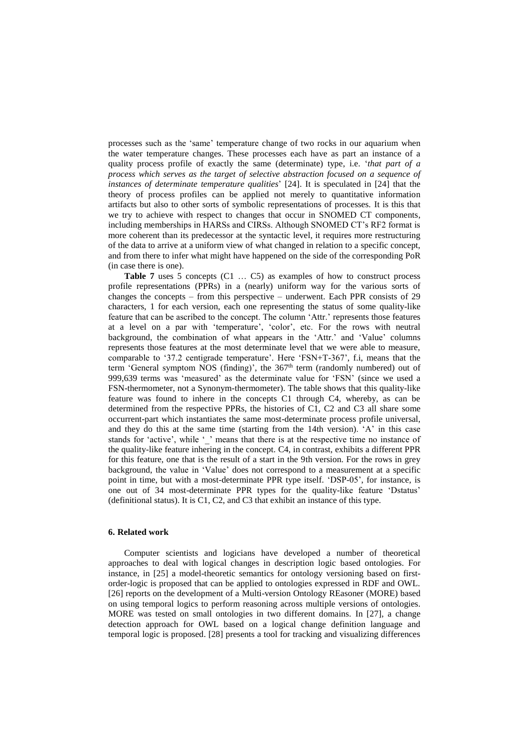processes such as the 'same' temperature change of two rocks in our aquarium when the water temperature changes. These processes each have as part an instance of a quality process profile of exactly the same (determinate) type, i.e. '*that part of a process which serves as the target of selective abstraction focused on a sequence of instances of determinate temperature qualities*' [24]. It is speculated in [24] that the theory of process profiles can be applied not merely to quantitative information artifacts but also to other sorts of symbolic representations of processes. It is this that we try to achieve with respect to changes that occur in SNOMED CT components, including memberships in HARSs and CIRSs. Although SNOMED CT's RF2 format is more coherent than its predecessor at the syntactic level, it requires more restructuring of the data to arrive at a uniform view of what changed in relation to a specific concept, and from there to infer what might have happened on the side of the corresponding PoR (in case there is one).

[Table 7](#page-10-0) uses 5 concepts (C1 ... C5) as examples of how to construct process profile representations (PPRs) in a (nearly) uniform way for the various sorts of changes the concepts – from this perspective – underwent. Each PPR consists of 29 characters, 1 for each version, each one representing the status of some quality-like feature that can be ascribed to the concept. The column 'Attr.' represents those features at a level on a par with 'temperature', 'color', etc. For the rows with neutral background, the combination of what appears in the 'Attr.' and 'Value' columns represents those features at the most determinate level that we were able to measure, comparable to '37.2 centigrade temperature'. Here 'FSN+T-367', f.i, means that the term 'General symptom NOS (finding)', the  $367<sup>th</sup>$  term (randomly numbered) out of 999,639 terms was 'measured' as the determinate value for 'FSN' (since we used a FSN-thermometer, not a Synonym-thermometer). The table shows that this quality-like feature was found to inhere in the concepts C1 through C4, whereby, as can be determined from the respective PPRs, the histories of C1, C2 and C3 all share some occurrent-part which instantiates the same most-determinate process profile universal, and they do this at the same time (starting from the 14th version). 'A' in this case stands for 'active', while '\_' means that there is at the respective time no instance of the quality-like feature inhering in the concept. C4, in contrast, exhibits a different PPR for this feature, one that is the result of a start in the 9th version. For the rows in grey background, the value in 'Value' does not correspond to a measurement at a specific point in time, but with a most-determinate PPR type itself. 'DSP-05', for instance, is one out of 34 most-determinate PPR types for the quality-like feature 'Dstatus' (definitional status). It is C1, C2, and C3 that exhibit an instance of this type.

## **6. Related work**

Computer scientists and logicians have developed a number of theoretical approaches to deal with logical changes in description logic based ontologies. For instance, in [25] a model-theoretic semantics for ontology versioning based on firstorder-logic is proposed that can be applied to ontologies expressed in RDF and OWL. [26] reports on the development of a Multi-version Ontology REasoner (MORE) based on using temporal logics to perform reasoning across multiple versions of ontologies. MORE was tested on small ontologies in two different domains. In [27], a change detection approach for OWL based on a logical change definition language and temporal logic is proposed. [28] presents a tool for tracking and visualizing differences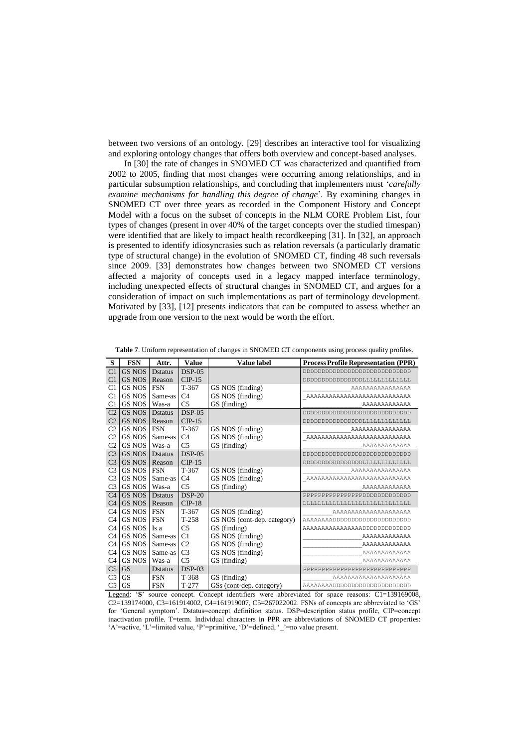between two versions of an ontology. [29] describes an interactive tool for visualizing and exploring ontology changes that offers both overview and concept-based analyses.

In [30] the rate of changes in SNOMED CT was characterized and quantified from 2002 to 2005, finding that most changes were occurring among relationships, and in particular subsumption relationships, and concluding that implementers must '*carefully examine mechanisms for handling this degree of change*'*.* By examining changes in SNOMED CT over three years as recorded in the Component History and Concept Model with a focus on the subset of concepts in the NLM CORE Problem List, four types of changes (present in over 40% of the target concepts over the studied timespan) were identified that are likely to impact health recordkeeping [31]. In [32], an approach is presented to identify idiosyncrasies such as relation reversals (a particularly dramatic type of structural change) in the evolution of SNOMED CT, finding 48 such reversals since 2009. [33] demonstrates how changes between two SNOMED CT versions affected a majority of concepts used in a legacy mapped interface terminology, including unexpected effects of structural changes in SNOMED CT, and argues for a consideration of impact on such implementations as part of terminology development. Motivated by [33], [12] presents indicators that can be computed to assess whether an upgrade from one version to the next would be worth the effort.

| S              | <b>FSN</b>    | Attr.           | <b>Value</b>   | <b>Value label</b>          | <b>Process Profile Representation (PPR)</b>   |
|----------------|---------------|-----------------|----------------|-----------------------------|-----------------------------------------------|
| C <sub>1</sub> | <b>GS NOS</b> | <b>D</b> status | $DSP-05$       |                             | ממממממממממממממממממממממ                        |
| C <sub>1</sub> | <b>GS NOS</b> | Reason          | $CIP-15$       |                             |                                               |
| C <sub>1</sub> | <b>GS NOS</b> | <b>FSN</b>      | T-367          | GS NOS (finding)            | AAAAAAAAAAAAAAA                               |
| C <sub>1</sub> | <b>GS NOS</b> | Same-as         | C <sub>4</sub> | GS NOS (finding)            | AAAAAAAAAAAAAAAAAAAAAAAAAAAA                  |
| C <sub>1</sub> | <b>GS NOS</b> | Was-a           | C <sub>5</sub> | GS (finding)                | AAAAAAAAAAAAA                                 |
| C <sub>2</sub> | <b>GS NOS</b> | <b>D</b> status | $DSP-0.5$      |                             | ממממממממממממממממממממממ                        |
| C <sub>2</sub> | <b>GS NOS</b> | Reason          | $CIP-15$       |                             | DDDDDDDDDDDDDDDDLLLLLLLLLLLLLLL               |
| C <sub>2</sub> | <b>GS NOS</b> | <b>FSN</b>      | $T-367$        | GS NOS (finding)            | AAAAAAAAAAAAAAA                               |
| C <sub>2</sub> | <b>GS NOS</b> | Same-as         | C <sub>4</sub> | GS NOS (finding)            | AAAAAAAAAAAAAAAAAAAAAAAAAAAA                  |
| C <sub>2</sub> | <b>GS NOS</b> | Was-a           | C <sub>5</sub> | GS (finding)                | AAAAAAAAAAAAA                                 |
| C <sub>3</sub> | GS NOS        | <b>D</b> status | $DSP-0.5$      |                             | 00000000000000000000000000000                 |
| C <sub>3</sub> | <b>GS NOS</b> | Reason          | $CP-15$        |                             | DDDDDDDDDDDDDDDDDLLLLLLLLLLLLLLLLLL           |
| C <sub>3</sub> | <b>GS NOS</b> | <b>FSN</b>      | $T-367$        | GS NOS (finding)            | AAAAAAAAAAAAAAA                               |
| C <sub>3</sub> | <b>GS NOS</b> | Same-as         | C <sub>4</sub> | GS NOS (finding)            | AAAAAAAAAAAAAAAAAAAAAAAAAAAA                  |
| C <sub>3</sub> | <b>GS NOS</b> | Was-a           | C <sub>5</sub> | GS (finding)                | AAAAAAAAAAAA                                  |
| C <sub>4</sub> | <b>GS NOS</b> | <b>D</b> status | $DSP-20$       |                             |                                               |
| C <sub>4</sub> | <b>GS NOS</b> | Reason          | $CP-18$        |                             | LLLLLLLLLLLLLLLLLLLLLLLLLLL                   |
| C <sub>4</sub> | GS NOS        | <b>FSN</b>      | T-367          | GS NOS (finding)            | AAAAAAAAAAAAAAAAAAAA                          |
| C <sub>4</sub> | <b>GS NOS</b> | <b>FSN</b>      | $T-258$        | GS NOS (cont-dep. category) |                                               |
| C <sub>4</sub> | <b>GS NOS</b> | Is a            | C <sub>5</sub> | GS (finding)                |                                               |
| C <sub>4</sub> | <b>GS NOS</b> | Same-as         | C <sub>1</sub> | GS NOS (finding)            | AAAAAAAAAAAA                                  |
| C <sub>4</sub> | <b>GS NOS</b> | Same-as         | C <sub>2</sub> | GS NOS (finding)            | AAAAAAAAAAAA                                  |
| C <sub>4</sub> | <b>GS NOS</b> | Same-as         | C <sub>3</sub> | GS NOS (finding)            | AAAAAAAAAAAA                                  |
| C <sub>4</sub> | <b>GS NOS</b> | Was-a           | C <sub>5</sub> | GS (finding)                | AAAAAAAAAAAAA                                 |
| C <sub>5</sub> | <b>GS</b>     | <b>D</b> status | $DSP-03$       |                             | ${\tt PPPPPPPPPPPPPPPPPPPPPPPPPPPPPPPPPPPPP}$ |
| C <sub>5</sub> | <b>GS</b>     | <b>FSN</b>      | T-368          | GS (finding)                | AAAAAAAAAAAAAAAAAAAA                          |
| C5             | <b>GS</b>     | <b>FSN</b>      | $T-277$        | GSs (cont-dep. category)    |                                               |

<span id="page-10-0"></span>**Table 7**. Uniform representation of changes in SNOMED CT components using process quality profiles.

Legend: 'S' source concept. Concept identifiers were abbreviated for space reasons: C1=139169008, C2=139174000, C3=161914002, C4=161919007, C5=267022002. FSNs of concepts are abbreviated to 'GS' for 'General symptom'. Dstatus=concept definition status. DSP=description status profile, CIP=concept inactivation profile. T=term. Individual characters in PPR are abbreviations of SNOMED CT properties: 'A'=active, 'L'=limited value, 'P'=primitive, 'D'=defined, '\_'=no value present.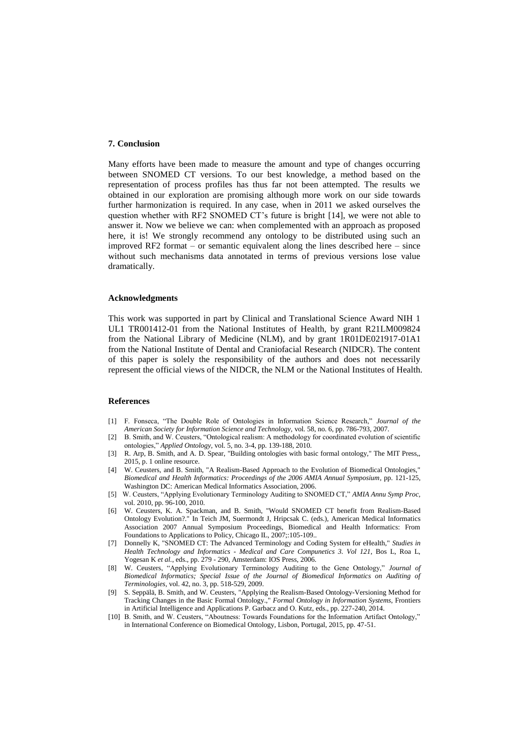#### **7. Conclusion**

Many efforts have been made to measure the amount and type of changes occurring between SNOMED CT versions. To our best knowledge, a method based on the representation of process profiles has thus far not been attempted. The results we obtained in our exploration are promising although more work on our side towards further harmonization is required. In any case, when in 2011 we asked ourselves the question whether with RF2 SNOMED CT's future is bright [14], we were not able to answer it. Now we believe we can: when complemented with an approach as proposed here, it is! We strongly recommend any ontology to be distributed using such an improved RF2 format – or semantic equivalent along the lines described here – since without such mechanisms data annotated in terms of previous versions lose value dramatically.

#### **Acknowledgments**

This work was supported in part by Clinical and Translational Science Award NIH 1 UL1 TR001412-01 from the National Institutes of Health, by grant R21LM009824 from the National Library of Medicine (NLM), and by grant 1R01DE021917-01A1 from the National Institute of Dental and Craniofacial Research (NIDCR). The content of this paper is solely the responsibility of the authors and does not necessarily represent the official views of the NIDCR, the NLM or the National Institutes of Health.

# **References**

- [1] F. Fonseca, "The Double Role of Ontologies in Information Science Research," *Journal of the American Society for Information Science and Technology,* vol. 58, no. 6, pp. 786-793, 2007.
- [2] B. Smith, and W. Ceusters, "Ontological realism: A methodology for coordinated evolution of scientific ontologies," *Applied Ontology,* vol. 5, no. 3-4, pp. 139-188, 2010.
- [3] R. Arp, B. Smith, and A. D. Spear, "Building ontologies with basic formal ontology," The MIT Press,, 2015, p. 1 online resource.
- [4] W. Ceusters, and B. Smith, "A Realism-Based Approach to the Evolution of Biomedical Ontologies," *Biomedical and Health Informatics: Proceedings of the 2006 AMIA Annual Symposium*, pp. 121-125, Washington DC: American Medical Informatics Association, 2006.
- [5] W. Ceusters, "Applying Evolutionary Terminology Auditing to SNOMED CT," *AMIA Annu Symp Proc,* vol. 2010, pp. 96-100, 2010.
- [6] W. Ceusters, K. A. Spackman, and B. Smith, "Would SNOMED CT benefit from Realism-Based Ontology Evolution?." In Teich JM, Suermondt J, Hripcsak C. (eds.), American Medical Informatics Association 2007 Annual Symposium Proceedings, Biomedical and Health Informatics: From Foundations to Applications to Policy, Chicago IL, 2007;:105-109..
- [7] Donnelly K, "SNOMED CT: The Advanced Terminology and Coding System for eHealth," *Studies in Health Technology and Informatics - Medical and Care Compunetics 3. Vol 121*, Bos L, Roa L, Yogesan K *et al.*, eds., pp. 279 - 290, Amsterdam: IOS Press, 2006.
- [8] W. Ceusters, "Applying Evolutionary Terminology Auditing to the Gene Ontology," *Journal of Biomedical Informatics; Special Issue of the Journal of Biomedical Informatics on Auditing of Terminologies,* vol. 42, no. 3, pp. 518-529, 2009.
- [9] S. Seppälä, B. Smith, and W. Ceusters, "Applying the Realism-Based Ontology-Versioning Method for Tracking Changes in the Basic Formal Ontology.," *Formal Ontology in Information Systems*, Frontiers in Artificial Intelligence and Applications P. Garbacz and O. Kutz, eds., pp. 227-240, 2014.
- [10] B. Smith, and W. Ceusters, "Aboutness: Towards Foundations for the Information Artifact Ontology," in International Conference on Biomedical Ontology, Lisbon, Portugal, 2015, pp. 47-51.